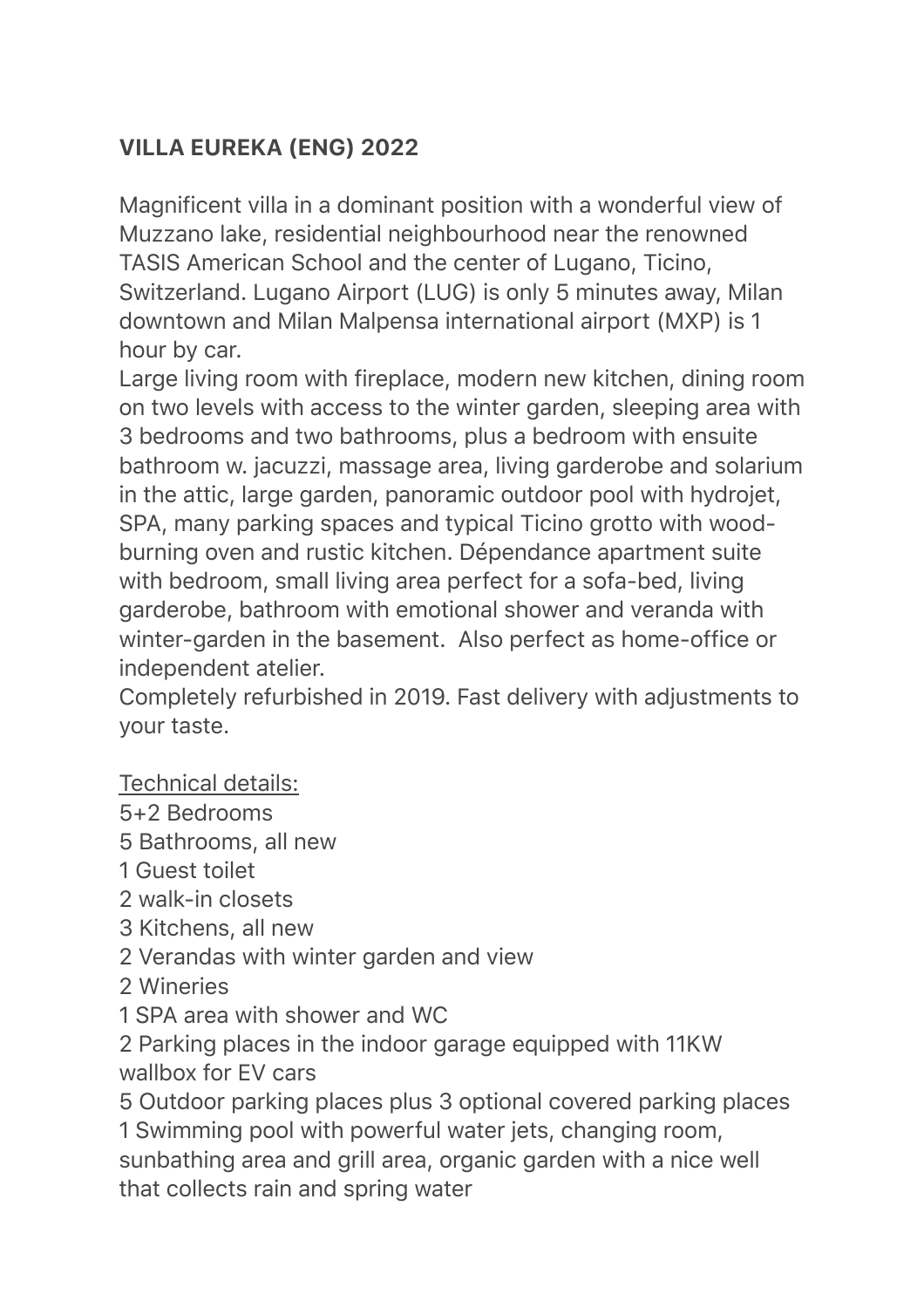# VILLA EUREKA (ENG) 2022

Magnificent villa in a dominant position with a wonderful view of Muzzano lake, residential neighbourhood near the renowned TASIS American School and the center of Lugano, Ticino, Switzerland. Lugano Airport (LUG) is only 5 minutes away, Milan downtown and Milan Malpensa international airport (MXP) is 1 hour by car.

Large living room with fireplace, modern new kitchen, dining room on two levels with access to the winter garden, sleeping area with 3 bedrooms and two bathrooms, plus a bedroom with ensuite bathroom w. jacuzzi, massage area, living garderobe and solarium in the attic, large garden, panoramic outdoor pool with hydrojet, SPA, many parking spaces and typical Ticino grotto with woodburning oven and rustic kitchen. Dépendance apartment suite with bedroom, small living area perfect for a sofa-bed, living garderobe, bathroom with emotional shower and veranda with winter-garden in the basement. Also perfect as home-office or independent atelier.

Completely refurbished in 2019. Fast delivery with adjustments to your taste.

Technical details:

- 5+2 Bedrooms
- 5 Bathrooms, all new
- 1 Guest toilet
- 2 walk-in closets
- 3 Kitchens, all new
- 2 Verandas with winter garden and view
- 2 Wineries
- 1 SPA area with shower and WC
- 2 Parking places in the indoor garage equipped with 11KW wallbox for EV cars

5 Outdoor parking places plus 3 optional covered parking places

1 Swimming pool with powerful water jets, changing room, sunbathing area and grill area, organic garden with a nice well that collects rain and spring water